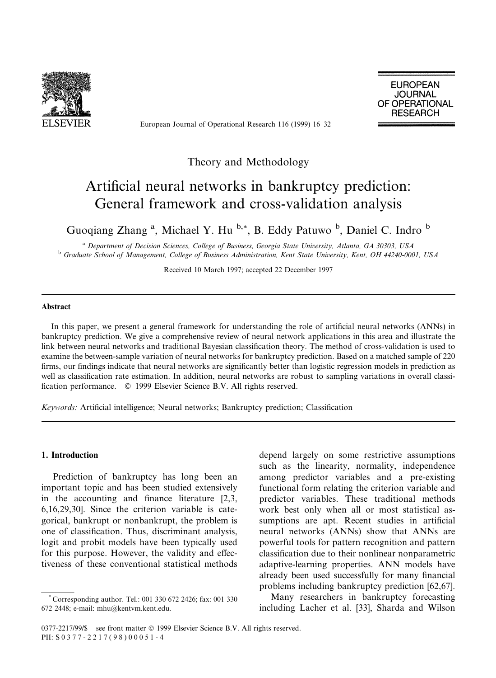

European Journal of Operational Research 116 (1999) 16-32

# **EUROPEAN JOURNAL** OF OPERATIONAL **RESEARCH**

# Theory and Methodology

# Artificial neural networks in bankruptcy prediction: General framework and cross-validation analysis

Guoqiang Zhang<sup>a</sup>, Michael Y. Hu<sup>b,\*</sup>, B. Eddy Patuwo<sup>b</sup>, Daniel C. Indro<sup>b</sup>

<sup>a</sup> Department of Decision Sciences, College of Business, Georgia State University, Atlanta, GA 30303, USA b Graduate School of Management, College of Business Administration, Kent State University, Kent, OH 44240-0001, US

Received 10 March 1997; accepted 22 December 1997

#### Abstract

In this paper, we present a general framework for understanding the role of artificial neural networks (ANNs) in bankruptcy prediction. We give a comprehensive review of neural network applications in this area and illustrate the link between neural networks and traditional Bayesian classification theory. The method of cross-validation is used to examine the between-sample variation of neural networks for bankruptcy prediction. Based on a matched sample of 220 firms, our findings indicate that neural networks are significantly better than logistic regression models in prediction as well as classification rate estimation. In addition, neural networks are robust to sampling variations in overall classification performance. © 1999 Elsevier Science B.V. All rights reserved.

Keywords: Artificial intelligence; Neural networks; Bankruptcy prediction; Classification

# 1. Introduction

Prediction of bankruptcy has long been an important topic and has been studied extensively in the accounting and finance literature  $[2,3,$ 6,16,29,30]. Since the criterion variable is categorical, bankrupt or nonbankrupt, the problem is one of classification. Thus, discriminant analysis, logit and probit models have been typically used for this purpose. However, the validity and effectiveness of these conventional statistical methods depend largely on some restrictive assumptions such as the linearity, normality, independence among predictor variables and a pre-existing functional form relating the criterion variable and predictor variables. These traditional methods work best only when all or most statistical assumptions are apt. Recent studies in artificial neural networks (ANNs) show that ANNs are powerful tools for pattern recognition and pattern classification due to their nonlinear nonparametric adaptive-learning properties. ANN models have already been used successfully for many financial problems including bankruptcy prediction [62,67].

Many researchers in bankruptcy forecasting including Lacher et al. [33], Sharda and Wilson

<sup>\*</sup> Corresponding author. Tel.: 001 330 672 2426; fax: 001 330 672 2448; e-mail: mhu@kentvm.kent.edu.

 $0377-2217/99$ /\$ – see front matter  $\odot$  1999 Elsevier Science B.V. All rights reserved. PII: S 0 3 7 7 - 2 2 1 7 ( 9 8 ) 0 0 0 5 1 - 4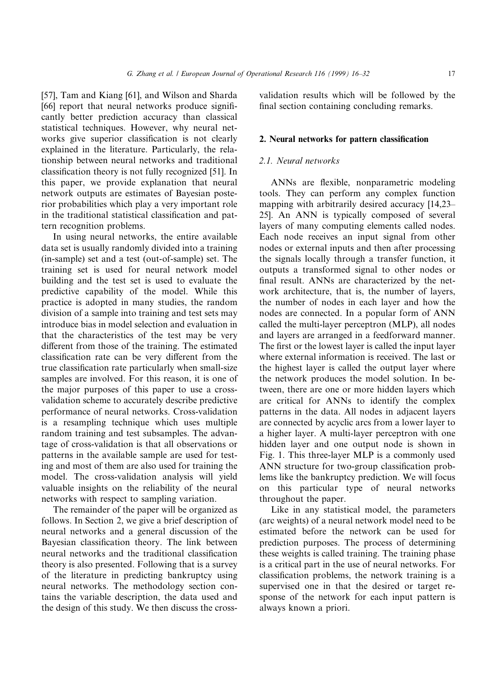[57], Tam and Kiang [61], and Wilson and Sharda [66] report that neural networks produce significantly better prediction accuracy than classical statistical techniques. However, why neural networks give superior classification is not clearly explained in the literature. Particularly, the relationship between neural networks and traditional classification theory is not fully recognized [51]. In this paper, we provide explanation that neural network outputs are estimates of Bayesian posterior probabilities which play a very important role in the traditional statistical classification and pattern recognition problems.

In using neural networks, the entire available data set is usually randomly divided into a training (in-sample) set and a test (out-of-sample) set. The training set is used for neural network model building and the test set is used to evaluate the predictive capability of the model. While this practice is adopted in many studies, the random division of a sample into training and test sets may introduce bias in model selection and evaluation in that the characteristics of the test may be very different from those of the training. The estimated classification rate can be very different from the true classification rate particularly when small-size samples are involved. For this reason, it is one of the major purposes of this paper to use a crossvalidation scheme to accurately describe predictive performance of neural networks. Cross-validation is a resampling technique which uses multiple random training and test subsamples. The advantage of cross-validation is that all observations or patterns in the available sample are used for testing and most of them are also used for training the model. The cross-validation analysis will yield valuable insights on the reliability of the neural networks with respect to sampling variation.

The remainder of the paper will be organized as follows. In Section 2, we give a brief description of neural networks and a general discussion of the Bayesian classification theory. The link between neural networks and the traditional classification theory is also presented. Following that is a survey of the literature in predicting bankruptcy using neural networks. The methodology section contains the variable description, the data used and the design of this study. We then discuss the crossvalidation results which will be followed by the final section containing concluding remarks.

#### 2. Neural networks for pattern classification

#### 2.1. Neural networks

ANNs are flexible, nonparametric modeling tools. They can perform any complex function mapping with arbitrarily desired accuracy  $[14,23-$ 25]. An ANN is typically composed of several layers of many computing elements called nodes. Each node receives an input signal from other nodes or external inputs and then after processing the signals locally through a transfer function, it outputs a transformed signal to other nodes or final result. ANNs are characterized by the network architecture, that is, the number of layers, the number of nodes in each layer and how the nodes are connected. In a popular form of ANN called the multi-layer perceptron (MLP), all nodes and layers are arranged in a feedforward manner. The first or the lowest layer is called the input layer where external information is received. The last or the highest layer is called the output layer where the network produces the model solution. In between, there are one or more hidden layers which are critical for ANNs to identify the complex patterns in the data. All nodes in adjacent layers are connected by acyclic arcs from a lower layer to a higher layer. A multi-layer perceptron with one hidden layer and one output node is shown in Fig. 1. This three-layer MLP is a commonly used ANN structure for two-group classification problems like the bankruptcy prediction. We will focus on this particular type of neural networks throughout the paper.

Like in any statistical model, the parameters (arc weights) of a neural network model need to be estimated before the network can be used for prediction purposes. The process of determining these weights is called training. The training phase is a critical part in the use of neural networks. For classification problems, the network training is a supervised one in that the desired or target response of the network for each input pattern is always known a priori.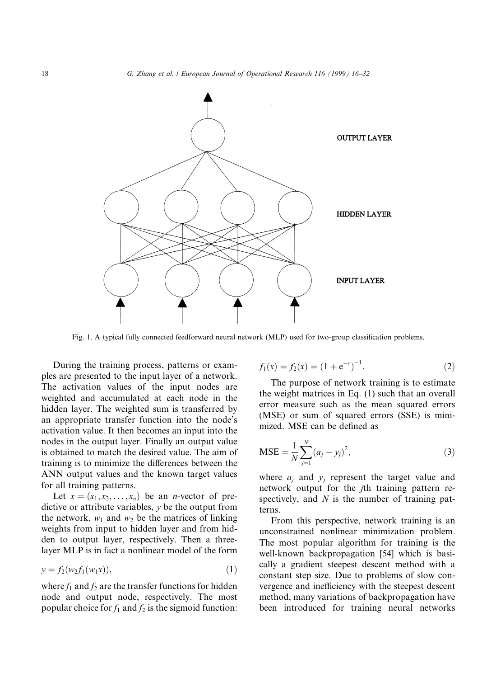

Fig. 1. A typical fully connected feedforward neural network (MLP) used for two-group classification problems.

During the training process, patterns or examples are presented to the input layer of a network. The activation values of the input nodes are weighted and accumulated at each node in the hidden layer. The weighted sum is transferred by an appropriate transfer function into the node's activation value. It then becomes an input into the nodes in the output layer. Finally an output value is obtained to match the desired value. The aim of training is to minimize the differences between the ANN output values and the known target values for all training patterns.

Let  $x = (x_1, x_2, \dots, x_n)$  be an *n*-vector of predictive or attribute variables, y be the output from the network,  $w_1$  and  $w_2$  be the matrices of linking weights from input to hidden layer and from hidden to output layer, respectively. Then a threelayer MLP is in fact a nonlinear model of the form

$$
y = f_2(w_2 f_1(w_1 x)), \tag{1}
$$

where  $f_1$  and  $f_2$  are the transfer functions for hidden node and output node, respectively. The most popular choice for  $f_1$  and  $f_2$  is the sigmoid function:

$$
f_1(x) = f_2(x) = (1 + e^{-x})^{-1}.
$$
 (2)

The purpose of network training is to estimate the weight matrices in Eq. (1) such that an overall error measure such as the mean squared errors (MSE) or sum of squared errors (SSE) is minimized. MSE can be defined as

$$
MSE = \frac{1}{N} \sum_{j=1}^{N} (a_j - y_j)^2,
$$
\n(3)

where  $a_j$  and  $y_j$  represent the target value and network output for the jth training pattern respectively, and  $N$  is the number of training patterns.

From this perspective, network training is an unconstrained nonlinear minimization problem. The most popular algorithm for training is the well-known backpropagation [54] which is basically a gradient steepest descent method with a constant step size. Due to problems of slow convergence and inefficiency with the steepest descent method, many variations of backpropagation have been introduced for training neural networks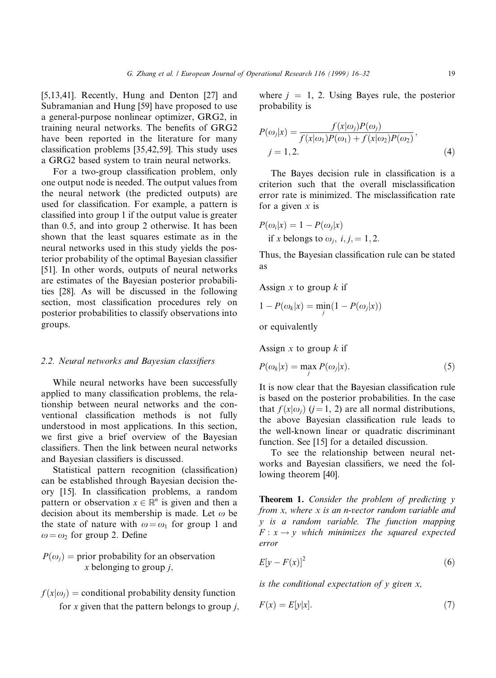[5,13,41]. Recently, Hung and Denton [27] and Subramanian and Hung [59] have proposed to use a general-purpose nonlinear optimizer, GRG2, in training neural networks. The benefits of GRG2 have been reported in the literature for many classification problems [35,42,59]. This study uses a GRG2 based system to train neural networks.

For a two-group classification problem, only one output node is needed. The output values from the neural network (the predicted outputs) are used for classification. For example, a pattern is classified into group 1 if the output value is greater than 0.5, and into group 2 otherwise. It has been shown that the least squares estimate as in the neural networks used in this study yields the posterior probability of the optimal Bayesian classifier [51]. In other words, outputs of neural networks are estimates of the Bayesian posterior probabilities [28]. As will be discussed in the following section, most classification procedures rely on posterior probabilities to classify observations into groups.

#### 2.2. Neural networks and Bayesian classifiers

While neural networks have been successfully applied to many classification problems, the relationship between neural networks and the conventional classification methods is not fully understood in most applications. In this section, we first give a brief overview of the Bayesian classifiers. Then the link between neural networks and Bayesian classifiers is discussed.

Statistical pattern recognition (classification) can be established through Bayesian decision theory [15]. In classification problems, a random pattern or observation  $x \in \mathbb{R}^n$  is given and then a decision about its membership is made. Let  $\omega$  be the state of nature with  $\omega = \omega_1$  for group 1 and  $\omega = \omega_2$  for group 2. Define

 $P(\omega_i)$  = prior probability for an observation  $x$  belonging to group  $i$ ,

 $f(x|\omega)$  = conditional probability density function for x given that the pattern belongs to group  $j$ , where  $j = 1, 2$ . Using Bayes rule, the posterior probability is

$$
P(\omega_j|x) = \frac{f(x|\omega_j)P(\omega_j)}{f(x|\omega_1)P(\omega_1) + f(x|\omega_2)P(\omega_2)},
$$
  

$$
j = 1, 2.
$$
 (4)

The Bayes decision rule in classification is a criterion such that the overall misclassification error rate is minimized. The misclassification rate for a given  $x$  is

$$
P(\omega_i|x) = 1 - P(\omega_j|x)
$$
  
if x belongs to  $\omega_j$ ,  $i, j, = 1, 2$ .

Thus, the Bayesian classification rule can be stated as

Assign  $x$  to group  $k$  if

$$
1 - P(\omega_k | x) = \min_j (1 - P(\omega_j | x))
$$

or equivalently

Assign x to group  $k$  if

$$
P(\omega_k|x) = \max_j P(\omega_j|x). \tag{5}
$$

It is now clear that the Bayesian classification rule is based on the posterior probabilities. In the case that  $f(x|\omega_i)$  (j = 1, 2) are all normal distributions, the above Bayesian classification rule leads to the well-known linear or quadratic discriminant function. See [15] for a detailed discussion.

To see the relationship between neural networks and Bayesian classifiers, we need the following theorem [40].

**Theorem 1.** Consider the problem of predicting  $y$ from x, where x is an n-vector random variable and y is a random variable. The function mapping  $F: x \rightarrow y$  which minimizes the squared expected error

$$
E[y - F(x)]^2 \tag{6}
$$

is the conditional expectation of  $y$  given  $x$ ,

$$
F(x) = E[y|x].
$$
\n(7)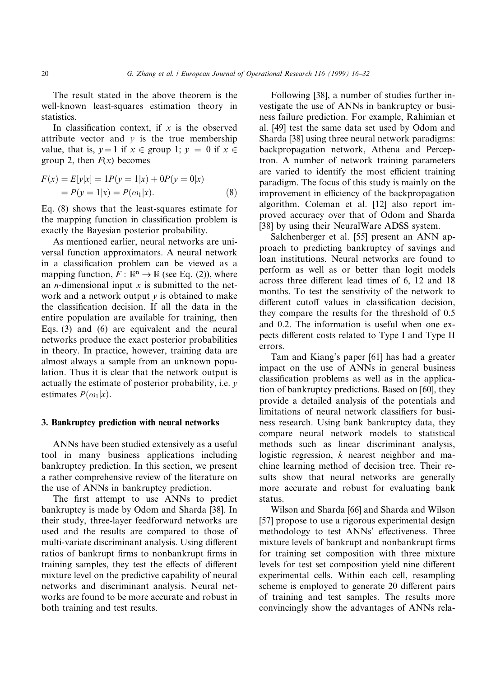The result stated in the above theorem is the well-known least-squares estimation theory in statistics.

In classification context, if  $x$  is the observed attribute vector and  $y$  is the true membership value, that is,  $y = 1$  if  $x \in \text{group 1}; y = 0$  if  $x \in$ group 2, then  $F(x)$  becomes

$$
F(x) = E[y|x] = 1P(y = 1|x) + 0P(y = 0|x)
$$
  
=  $P(y = 1|x) = P(\omega_1|x)$ . (8)

Eq. (8) shows that the least-squares estimate for the mapping function in classification problem is exactly the Bayesian posterior probability.

As mentioned earlier, neural networks are universal function approximators. A neural network in a classification problem can be viewed as a mapping function,  $F : \mathbb{R}^n \to \mathbb{R}$  (see Eq. (2)), where an *n*-dimensional input  $x$  is submitted to the network and a network output  $\nu$  is obtained to make the classification decision. If all the data in the entire population are available for training, then Eqs. (3) and (6) are equivalent and the neural networks produce the exact posterior probabilities in theory. In practice, however, training data are almost always a sample from an unknown population. Thus it is clear that the network output is actually the estimate of posterior probability, i.e. y estimates  $P(\omega_1|x)$ .

#### 3. Bankruptcy prediction with neural networks

ANNs have been studied extensively as a useful tool in many business applications including bankruptcy prediction. In this section, we present a rather comprehensive review of the literature on the use of ANNs in bankruptcy prediction.

The first attempt to use ANNs to predict bankruptcy is made by Odom and Sharda [38]. In their study, three-layer feedforward networks are used and the results are compared to those of multi-variate discriminant analysis. Using different ratios of bankrupt firms to nonbankrupt firms in training samples, they test the effects of different mixture level on the predictive capability of neural networks and discriminant analysis. Neural networks are found to be more accurate and robust in both training and test results.

Following [38], a number of studies further investigate the use of ANNs in bankruptcy or business failure prediction. For example, Rahimian et al. [49] test the same data set used by Odom and Sharda [38] using three neural network paradigms: backpropagation network, Athena and Perceptron. A number of network training parameters are varied to identify the most efficient training paradigm. The focus of this study is mainly on the improvement in efficiency of the backpropagation algorithm. Coleman et al. [12] also report improved accuracy over that of Odom and Sharda [38] by using their NeuralWare ADSS system.

Salchenberger et al. [55] present an ANN approach to predicting bankruptcy of savings and loan institutions. Neural networks are found to perform as well as or better than logit models across three different lead times of 6, 12 and 18 months. To test the sensitivity of the network to different cutoff values in classification decision, they compare the results for the threshold of 0.5 and 0.2. The information is useful when one expects different costs related to Type I and Type II errors.

Tam and Kiang's paper [61] has had a greater impact on the use of ANNs in general business classification problems as well as in the application of bankruptcy predictions. Based on [60], they provide a detailed analysis of the potentials and limitations of neural network classifiers for business research. Using bank bankruptcy data, they compare neural network models to statistical methods such as linear discriminant analysis, logistic regression, k nearest neighbor and machine learning method of decision tree. Their results show that neural networks are generally more accurate and robust for evaluating bank status.

Wilson and Sharda [66] and Sharda and Wilson [57] propose to use a rigorous experimental design methodology to test ANNs' effectiveness. Three mixture levels of bankrupt and nonbankrupt firms for training set composition with three mixture levels for test set composition yield nine different experimental cells. Within each cell, resampling scheme is employed to generate 20 different pairs of training and test samples. The results more convincingly show the advantages of ANNs rela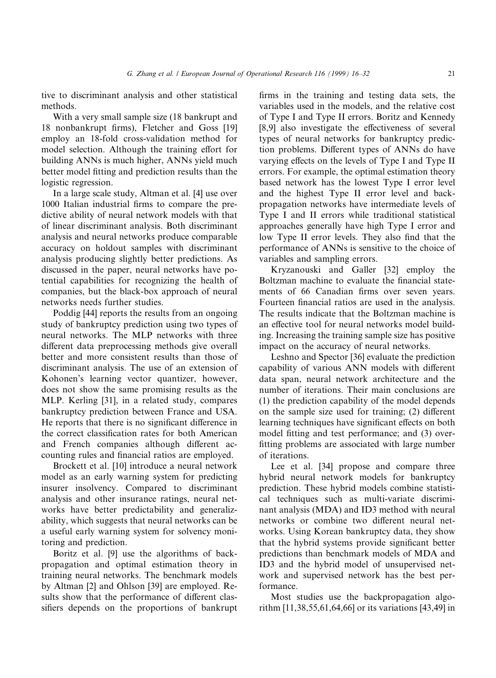tive to discriminant analysis and other statistical methods.

With a very small sample size (18 bankrupt and 18 nonbankrupt firms), Fletcher and Goss [19] employ an 18-fold cross-validation method for model selection. Although the training effort for building ANNs is much higher, ANNs yield much better model fitting and prediction results than the logistic regression.

In a large scale study, Altman et al. [4] use over 1000 Italian industrial firms to compare the predictive ability of neural network models with that of linear discriminant analysis. Both discriminant analysis and neural networks produce comparable accuracy on holdout samples with discriminant analysis producing slightly better predictions. As discussed in the paper, neural networks have potential capabilities for recognizing the health of companies, but the black-box approach of neural networks needs further studies.

Poddig [44] reports the results from an ongoing study of bankruptcy prediction using two types of neural networks. The MLP networks with three different data preprocessing methods give overall better and more consistent results than those of discriminant analysis. The use of an extension of Kohonen's learning vector quantizer, however, does not show the same promising results as the MLP. Kerling [31], in a related study, compares bankruptcy prediction between France and USA. He reports that there is no significant difference in the correct classification rates for both American and French companies although different accounting rules and financial ratios are employed.

Brockett et al. [10] introduce a neural network model as an early warning system for predicting insurer insolvency. Compared to discriminant analysis and other insurance ratings, neural networks have better predictability and generalizability, which suggests that neural networks can be a useful early warning system for solvency monitoring and prediction.

Boritz et al. [9] use the algorithms of backpropagation and optimal estimation theory in training neural networks. The benchmark models by Altman [2] and Ohlson [39] are employed. Results show that the performance of different classifiers depends on the proportions of bankrupt firms in the training and testing data sets, the variables used in the models, and the relative cost of Type I and Type II errors. Boritz and Kennedy [8,9] also investigate the effectiveness of several types of neural networks for bankruptcy prediction problems. Different types of ANNs do have varying effects on the levels of Type I and Type II errors. For example, the optimal estimation theory based network has the lowest Type I error level and the highest Type II error level and backpropagation networks have intermediate levels of Type I and II errors while traditional statistical approaches generally have high Type I error and low Type II error levels. They also find that the performance of ANNs is sensitive to the choice of variables and sampling errors.

Kryzanouski and Galler [32] employ the Boltzman machine to evaluate the financial statements of 66 Canadian firms over seven years. Fourteen financial ratios are used in the analysis. The results indicate that the Boltzman machine is an effective tool for neural networks model building. Increasing the training sample size has positive impact on the accuracy of neural networks.

Leshno and Spector [36] evaluate the prediction capability of various ANN models with different data span, neural network architecture and the number of iterations. Their main conclusions are (1) the prediction capability of the model depends on the sample size used for training;  $(2)$  different learning techniques have significant effects on both model fitting and test performance; and (3) overfitting problems are associated with large number of iterations.

Lee et al. [34] propose and compare three hybrid neural network models for bankruptcy prediction. These hybrid models combine statistical techniques such as multi-variate discriminant analysis (MDA) and ID3 method with neural networks or combine two different neural networks. Using Korean bankruptcy data, they show that the hybrid systems provide significant better predictions than benchmark models of MDA and ID3 and the hybrid model of unsupervised network and supervised network has the best performance.

Most studies use the backpropagation algorithm [11,38,55,61,64,66] or its variations [43,49] in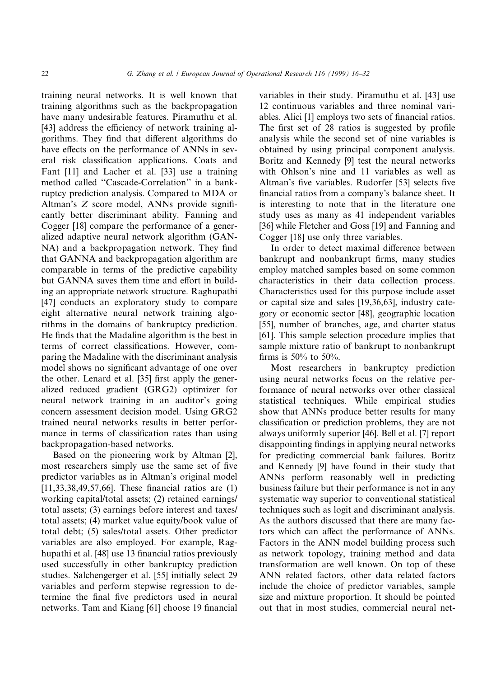training neural networks. It is well known that training algorithms such as the backpropagation have many undesirable features. Piramuthu et al. [43] address the efficiency of network training algorithms. They find that different algorithms do have effects on the performance of ANNs in several risk classification applications. Coats and Fant [11] and Lacher et al. [33] use a training method called "Cascade-Correlation" in a bankruptcy prediction analysis. Compared to MDA or Altman's Z score model, ANNs provide significantly better discriminant ability. Fanning and Cogger [18] compare the performance of a generalized adaptive neural network algorithm (GAN-NA) and a backpropagation network. They find that GANNA and backpropagation algorithm are comparable in terms of the predictive capability but GANNA saves them time and effort in building an appropriate network structure. Raghupathi [47] conducts an exploratory study to compare eight alternative neural network training algorithms in the domains of bankruptcy prediction. He finds that the Madaline algorithm is the best in terms of correct classifications. However, comparing the Madaline with the discriminant analysis model shows no significant advantage of one over the other. Lenard et al. [35] first apply the generalized reduced gradient (GRG2) optimizer for neural network training in an auditor's going concern assessment decision model. Using GRG2 trained neural networks results in better performance in terms of classification rates than using backpropagation-based networks.

Based on the pioneering work by Altman [2], most researchers simply use the same set of five predictor variables as in Altman's original model  $[11,33,38,49,57,66]$ . These financial ratios are  $(1)$ working capital/total assets; (2) retained earnings/ total assets; (3) earnings before interest and taxes/ total assets; (4) market value equity/book value of total debt; (5) sales/total assets. Other predictor variables are also employed. For example, Raghupathi et al. [48] use 13 financial ratios previously used successfully in other bankruptcy prediction studies. Salchengerger et al. [55] initially select 29 variables and perform stepwise regression to determine the final five predictors used in neural networks. Tam and Kiang [61] choose 19 financial

variables in their study. Piramuthu et al. [43] use 12 continuous variables and three nominal variables. Alici [1] employs two sets of financial ratios. The first set of  $28$  ratios is suggested by profile analysis while the second set of nine variables is obtained by using principal component analysis. Boritz and Kennedy [9] test the neural networks with Ohlson's nine and 11 variables as well as Altman's five variables. Rudorfer [53] selects five financial ratios from a company's balance sheet. It is interesting to note that in the literature one study uses as many as 41 independent variables [36] while Fletcher and Goss [19] and Fanning and Cogger [18] use only three variables.

In order to detect maximal difference between bankrupt and nonbankrupt firms, many studies employ matched samples based on some common characteristics in their data collection process. Characteristics used for this purpose include asset or capital size and sales [19,36,63], industry category or economic sector [48], geographic location [55], number of branches, age, and charter status [61]. This sample selection procedure implies that sample mixture ratio of bankrupt to nonbankrupt firms is  $50\%$  to  $50\%$ .

Most researchers in bankruptcy prediction using neural networks focus on the relative performance of neural networks over other classical statistical techniques. While empirical studies show that ANNs produce better results for many classification or prediction problems, they are not always uniformly superior [46]. Bell et al. [7] report disappointing findings in applying neural networks for predicting commercial bank failures. Boritz and Kennedy [9] have found in their study that ANNs perform reasonably well in predicting business failure but their performance is not in any systematic way superior to conventional statistical techniques such as logit and discriminant analysis. As the authors discussed that there are many factors which can affect the performance of ANNs. Factors in the ANN model building process such as network topology, training method and data transformation are well known. On top of these ANN related factors, other data related factors include the choice of predictor variables, sample size and mixture proportion. It should be pointed out that in most studies, commercial neural net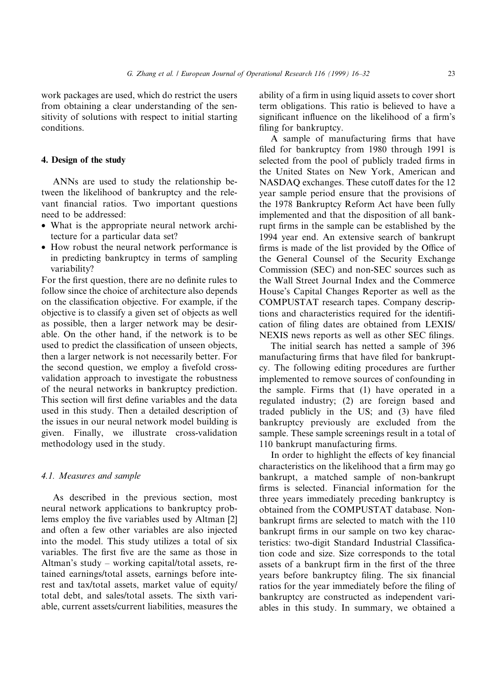work packages are used, which do restrict the users from obtaining a clear understanding of the sensitivity of solutions with respect to initial starting conditions.

### 4. Design of the study

ANNs are used to study the relationship between the likelihood of bankruptcy and the relevant financial ratios. Two important questions need to be addressed:

- · What is the appropriate neural network architecture for a particular data set?
- · How robust the neural network performance is in predicting bankruptcy in terms of sampling variability?

For the first question, there are no definite rules to follow since the choice of architecture also depends on the classification objective. For example, if the objective is to classify a given set of objects as well as possible, then a larger network may be desirable. On the other hand, if the network is to be used to predict the classification of unseen objects, then a larger network is not necessarily better. For the second question, we employ a fivefold crossvalidation approach to investigate the robustness of the neural networks in bankruptcy prediction. This section will first define variables and the data used in this study. Then a detailed description of the issues in our neural network model building is given. Finally, we illustrate cross-validation methodology used in the study.

#### 4.1. Measures and sample

As described in the previous section, most neural network applications to bankruptcy problems employ the five variables used by Altman [2] and often a few other variables are also injected into the model. This study utilizes a total of six variables. The first five are the same as those in Altman's study  $-$  working capital/total assets, retained earnings/total assets, earnings before interest and tax/total assets, market value of equity/ total debt, and sales/total assets. The sixth variable, current assets/current liabilities, measures the ability of a firm in using liquid assets to cover short term obligations. This ratio is believed to have a significant influence on the likelihood of a firm's filing for bankruptcy.

A sample of manufacturing firms that have filed for bankruptcy from 1980 through 1991 is selected from the pool of publicly traded firms in the United States on New York, American and NASDAQ exchanges. These cutoff dates for the 12 year sample period ensure that the provisions of the 1978 Bankruptcy Reform Act have been fully implemented and that the disposition of all bankrupt firms in the sample can be established by the 1994 year end. An extensive search of bankrupt firms is made of the list provided by the Office of the General Counsel of the Security Exchange Commission (SEC) and non-SEC sources such as the Wall Street Journal Index and the Commerce House's Capital Changes Reporter as well as the COMPUSTAT research tapes. Company descriptions and characteristics required for the identification of filing dates are obtained from LEXIS/ NEXIS news reports as well as other SEC filings.

The initial search has netted a sample of 396 manufacturing firms that have filed for bankruptcy. The following editing procedures are further implemented to remove sources of confounding in the sample. Firms that (1) have operated in a regulated industry; (2) are foreign based and traded publicly in the US; and  $(3)$  have filed bankruptcy previously are excluded from the sample. These sample screenings result in a total of 110 bankrupt manufacturing firms.

In order to highlight the effects of key financial characteristics on the likelihood that a firm may go bankrupt, a matched sample of non-bankrupt firms is selected. Financial information for the three years immediately preceding bankruptcy is obtained from the COMPUSTAT database. Nonbankrupt firms are selected to match with the 110 bankrupt firms in our sample on two key characteristics: two-digit Standard Industrial Classification code and size. Size corresponds to the total assets of a bankrupt firm in the first of the three years before bankruptcy filing. The six financial ratios for the year immediately before the filing of bankruptcy are constructed as independent variables in this study. In summary, we obtained a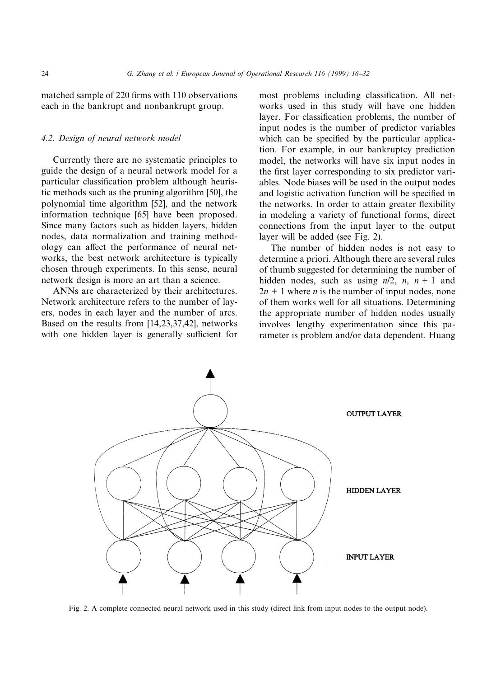matched sample of 220 firms with 110 observations each in the bankrupt and nonbankrupt group.

#### 4.2. Design of neural network model

Currently there are no systematic principles to guide the design of a neural network model for a particular classification problem although heuristic methods such as the pruning algorithm [50], the polynomial time algorithm [52], and the network information technique [65] have been proposed. Since many factors such as hidden layers, hidden nodes, data normalization and training methodology can affect the performance of neural networks, the best network architecture is typically chosen through experiments. In this sense, neural network design is more an art than a science.

ANNs are characterized by their architectures. Network architecture refers to the number of layers, nodes in each layer and the number of arcs. Based on the results from [14,23,37,42], networks with one hidden layer is generally sufficient for most problems including classification. All networks used in this study will have one hidden layer. For classification problems, the number of input nodes is the number of predictor variables which can be specified by the particular application. For example, in our bankruptcy prediction model, the networks will have six input nodes in the first layer corresponding to six predictor variables. Node biases will be used in the output nodes and logistic activation function will be specified in the networks. In order to attain greater flexibility in modeling a variety of functional forms, direct connections from the input layer to the output layer will be added (see Fig. 2).

The number of hidden nodes is not easy to determine a priori. Although there are several rules of thumb suggested for determining the number of hidden nodes, such as using  $n/2$ ,  $n$ ,  $n + 1$  and  $2n + 1$  where *n* is the number of input nodes, none of them works well for all situations. Determining the appropriate number of hidden nodes usually involves lengthy experimentation since this parameter is problem and/or data dependent. Huang



Fig. 2. A complete connected neural network used in this study (direct link from input nodes to the output node).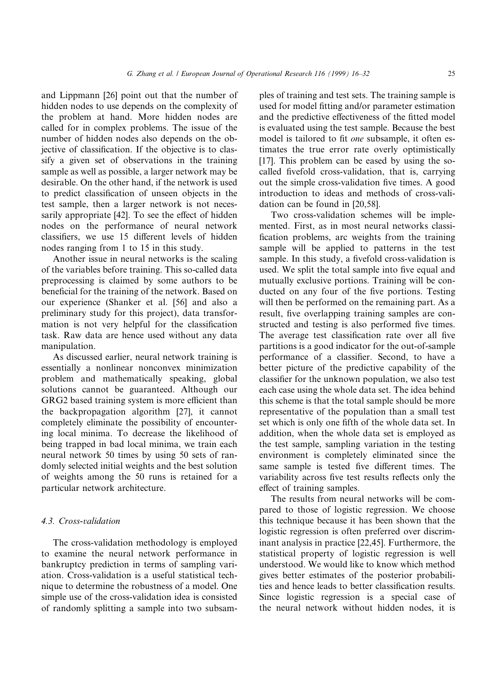and Lippmann [26] point out that the number of hidden nodes to use depends on the complexity of the problem at hand. More hidden nodes are called for in complex problems. The issue of the number of hidden nodes also depends on the objective of classification. If the objective is to classify a given set of observations in the training sample as well as possible, a larger network may be desirable. On the other hand, if the network is used to predict classification of unseen objects in the test sample, then a larger network is not necessarily appropriate [42]. To see the effect of hidden nodes on the performance of neural network classifiers, we use 15 different levels of hidden nodes ranging from 1 to 15 in this study.

Another issue in neural networks is the scaling of the variables before training. This so-called data preprocessing is claimed by some authors to be beneficial for the training of the network. Based on our experience (Shanker et al. [56] and also a preliminary study for this project), data transformation is not very helpful for the classification task. Raw data are hence used without any data manipulation.

As discussed earlier, neural network training is essentially a nonlinear nonconvex minimization problem and mathematically speaking, global solutions cannot be guaranteed. Although our GRG2 based training system is more efficient than the backpropagation algorithm [27], it cannot completely eliminate the possibility of encountering local minima. To decrease the likelihood of being trapped in bad local minima, we train each neural network 50 times by using 50 sets of randomly selected initial weights and the best solution of weights among the 50 runs is retained for a particular network architecture.

#### 4.3. Cross-validation

The cross-validation methodology is employed to examine the neural network performance in bankruptcy prediction in terms of sampling variation. Cross-validation is a useful statistical technique to determine the robustness of a model. One simple use of the cross-validation idea is consisted of randomly splitting a sample into two subsamples of training and test sets. The training sample is used for model fitting and/or parameter estimation and the predictive effectiveness of the fitted model is evaluated using the test sample. Because the best model is tailored to fit *one* subsample, it often estimates the true error rate overly optimistically [17]. This problem can be eased by using the socalled fivefold cross-validation, that is, carrying out the simple cross-validation five times. A good introduction to ideas and methods of cross-validation can be found in [20,58].

Two cross-validation schemes will be implemented. First, as in most neural networks classi fication problems, arc weights from the training sample will be applied to patterns in the test sample. In this study, a fivefold cross-validation is used. We split the total sample into five equal and mutually exclusive portions. Training will be conducted on any four of the five portions. Testing will then be performed on the remaining part. As a result, five overlapping training samples are constructed and testing is also performed five times. The average test classification rate over all five partitions is a good indicator for the out-of-sample performance of a classifier. Second, to have a better picture of the predictive capability of the classifier for the unknown population, we also test each case using the whole data set. The idea behind this scheme is that the total sample should be more representative of the population than a small test set which is only one fifth of the whole data set. In addition, when the whole data set is employed as the test sample, sampling variation in the testing environment is completely eliminated since the same sample is tested five different times. The variability across five test results reflects only the effect of training samples.

The results from neural networks will be compared to those of logistic regression. We choose this technique because it has been shown that the logistic regression is often preferred over discriminant analysis in practice [22,45]. Furthermore, the statistical property of logistic regression is well understood. We would like to know which method gives better estimates of the posterior probabilities and hence leads to better classification results. Since logistic regression is a special case of the neural network without hidden nodes, it is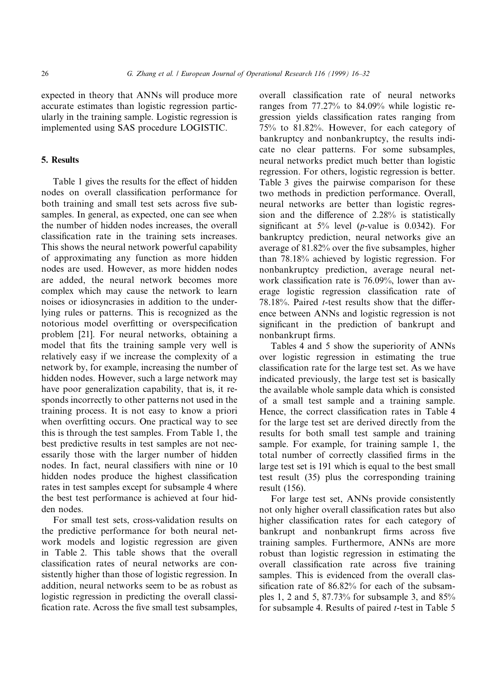expected in theory that ANNs will produce more accurate estimates than logistic regression particularly in the training sample. Logistic regression is implemented using SAS procedure LOGISTIC.

## 5. Results

Table 1 gives the results for the effect of hidden nodes on overall classification performance for both training and small test sets across five subsamples. In general, as expected, one can see when the number of hidden nodes increases, the overall classification rate in the training sets increases. This shows the neural network powerful capability of approximating any function as more hidden nodes are used. However, as more hidden nodes are added, the neural network becomes more complex which may cause the network to learn noises or idiosyncrasies in addition to the underlying rules or patterns. This is recognized as the notorious model overfitting or overspecification problem [21]. For neural networks, obtaining a model that fits the training sample very well is relatively easy if we increase the complexity of a network by, for example, increasing the number of hidden nodes. However, such a large network may have poor generalization capability, that is, it responds incorrectly to other patterns not used in the training process. It is not easy to know a priori when overfitting occurs. One practical way to see this is through the test samples. From Table 1, the best predictive results in test samples are not necessarily those with the larger number of hidden nodes. In fact, neural classifiers with nine or 10 hidden nodes produce the highest classification rates in test samples except for subsample 4 where the best test performance is achieved at four hidden nodes.

For small test sets, cross-validation results on the predictive performance for both neural network models and logistic regression are given in Table 2. This table shows that the overall classification rates of neural networks are consistently higher than those of logistic regression. In addition, neural networks seem to be as robust as logistic regression in predicting the overall classi fication rate. Across the five small test subsamples,

overall classification rate of neural networks ranges from 77.27% to 84.09% while logistic regression vields classification rates ranging from 75% to 81.82%. However, for each category of bankruptcy and nonbankruptcy, the results indicate no clear patterns. For some subsamples, neural networks predict much better than logistic regression. For others, logistic regression is better. Table 3 gives the pairwise comparison for these two methods in prediction performance. Overall, neural networks are better than logistic regression and the difference of  $2.28\%$  is statistically significant at  $5\%$  level (*p*-value is 0.0342). For bankruptcy prediction, neural networks give an average of  $81.82\%$  over the five subsamples, higher than 78.18% achieved by logistic regression. For nonbankruptcy prediction, average neural network classification rate is 76.09%, lower than average logistic regression classification rate of 78.18%. Paired  $t$ -test results show that the difference between ANNs and logistic regression is not significant in the prediction of bankrupt and nonbankrupt firms.

Tables 4 and 5 show the superiority of ANNs over logistic regression in estimating the true classification rate for the large test set. As we have indicated previously, the large test set is basically the available whole sample data which is consisted of a small test sample and a training sample. Hence, the correct classification rates in Table 4 for the large test set are derived directly from the results for both small test sample and training sample. For example, for training sample 1, the total number of correctly classified firms in the large test set is 191 which is equal to the best small test result (35) plus the corresponding training result (156).

For large test set, ANNs provide consistently not only higher overall classification rates but also higher classification rates for each category of bankrupt and nonbankrupt firms across five training samples. Furthermore, ANNs are more robust than logistic regression in estimating the overall classification rate across five training samples. This is evidenced from the overall classification rate of  $86.82\%$  for each of the subsamples 1, 2 and 5, 87.73% for subsample 3, and 85% for subsample 4. Results of paired  $t$ -test in Table 5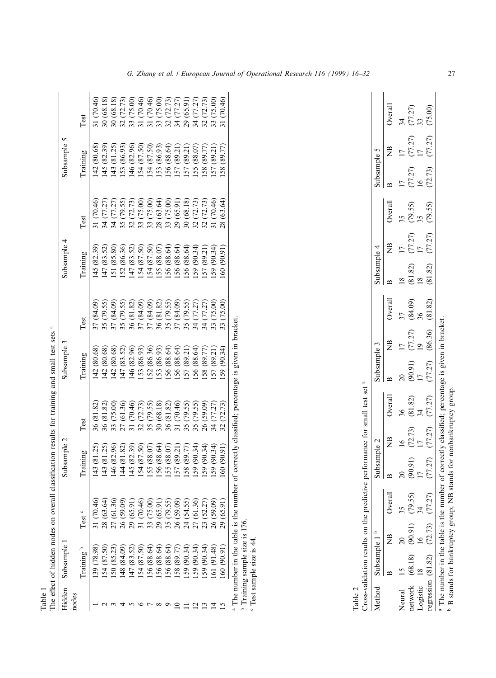|                 |                                                 | The effect of hidden nodes on overall classification results for training and small test sets a |             |            |                                                               |                 |             |            |                                 |                            |
|-----------------|-------------------------------------------------|-------------------------------------------------------------------------------------------------|-------------|------------|---------------------------------------------------------------|-----------------|-------------|------------|---------------------------------|----------------------------|
| Hidden<br>nodes | Subsample 1                                     |                                                                                                 | Subsample 2 |            | Subsample 3                                                   |                 | Subsample 4 |            | $\mathbf{\hat{z}}$<br>Subsample |                            |
|                 | Training <sup>b</sup>                           | Test <sup>c</sup>                                                                               | Training    | Test       | Training                                                      | Test            | Training    | Test       | Craining                        | Test                       |
|                 | 139 (78.98)                                     | 31 (70.46)                                                                                      | (43(81.25)  | 36(81.82)  | 42 (80.68)                                                    | 37 (84.09)      | 45 (82.39)  | 31 (70.46) | 42 (80.68)                      | 31 (70.46)                 |
|                 | 154 (87.50)                                     | 28 (63.64)                                                                                      | 143(81.25)  | 36(81.82)  | (42, 80.68)                                                   | 35 (79.55)      | 147(83.52)  | 34 (77.27) | 145(82.39)                      | 30 (68.18)                 |
|                 | 150 (85.23)                                     | 27 (61.36)                                                                                      | 146 (82.96) | 33 (75.00) | 142 (80.68)                                                   | 37 (84.09)      | [51 (85.80) | 34 (77.27  | 143 (81.25)                     | 30 (68.18)                 |
|                 | 148 (84.09)                                     | 26 (59.09)                                                                                      | 44(81.82)   | 27 (61.36) | (47(83.52))                                                   | 35 (79.55)      | 152 (86.36) | 35 (79.55) | [53 (86.93)                     | (72.73)<br>$\overline{32}$ |
|                 | 147 (83.52)                                     | 29 (65.91)                                                                                      | (45 (82.39) | 31 (70.46) | 146 (82.96)                                                   | 36 (81.82)      | 147(83.52)  | 32 (72.73) | 146 (82.96)                     | (75.00)<br>33 <sub>1</sub> |
|                 | 154 (87.50                                      | 31 (70.46)                                                                                      | 154(87.50)  | 32 (72.73) | [53 (86.93)                                                   | 37 (84.09)      | [54 (87.50) | 33 (75.00) | 54 (87.50)                      | (70.46)                    |
|                 | 156 (88.64)                                     | 33 (75.00)                                                                                      | 155 (88.07  | 35 (79.55) | 152 (86.36)                                                   | 37 (84.09)      | [54 (87.50) | 33 (75.00) | 54 (87.50)                      | (70.46)                    |
|                 | 156 (88.64)                                     | 29 (65.91)                                                                                      | 156(88.64)  | 30 (68.18) | 53 (86.93)                                                    | 36(81.82)       | [55 (88.07) | 28 (63.64) | 53 (86.93)                      | (75.00)<br>33              |
|                 | 156 (88.64)                                     | 35 (79.55)                                                                                      | 155(88.07)  | 36 (81.82) | 156 (88.64)                                                   | 35 (79.55)      | 156 (88.64) | 33 (75.00) | 56 (88.64)                      | 32 (72.73                  |
|                 | 158 (89.77                                      | 26 (59.09)                                                                                      | 157(89.21)  | 31 (70.46) | 156(88.64)                                                    | 37 (84.09)      | 156 (88.64) | 29(65.91)  | 57 (89.21                       | 34 (77.27                  |
|                 | 159 (90.34)                                     | 24 (54.55)                                                                                      | 158 (89.77) | 35 (79.55) | 157 (89.21                                                    | 35 (79.55)      | .56(88.64)  | 30 (68.18) | 57 (89.21                       | 29 (65.91                  |
| $\bar{\omega}$  | 159(90.34)                                      | 27 (61.36)                                                                                      | 59(90.34)   | 35 (79.55) | 56 (88.64)                                                    | 34 (77.27)      | 59 (90.34)  | 32 (72.73) | 55 (88.07                       | 34 (77.27                  |
|                 | 159(90.34)                                      | 23 (52.27)                                                                                      | 59 (90.34)  | 26 (59.09) | 58 (89.77)                                                    | 34 (77.27)      | 57 (89.21)  | 32 (72.73) | 58 (89.77                       | (72.73)<br>$\frac{32}{33}$ |
|                 | 161 (91.48)                                     | 26 (59.09)                                                                                      | 159(90.34)  | 34 (77.27) | 57 (89.21)                                                    | 33 (75.00)      | 59 (90.34)  | 31 (70.46) | 57 (89.21                       | (75.00)                    |
|                 | (60(90.91)                                      | 29 (65.91)                                                                                      | (60(90.91)  | 32 (72.73) | 59 (90.34)                                                    | (75.00)<br>33 I | 60 (90.91)  | 28(63.64)  | 58 (89.77)                      | (70.46)                    |
|                 | <sup>a</sup> The number in the table is the nur |                                                                                                 |             |            | mber of correctly classified; percentage is given in bracket. |                 |             |            |                                 |                            |
|                 | Training sample size is 176.                    |                                                                                                 |             |            |                                                               |                 |             |            |                                 |                            |
|                 | <sup>c</sup> Test sample size is 44             |                                                                                                 |             |            |                                                               |                 |             |            |                                 |                            |

Table 1

<sup>b</sup> Training sample size is 176.<br> $\degree$  Test sample size is 44.

Table 2  $\,$  2  $\,$  2  $\,$  2  $\,$  10  $\,$  2  $\,$  10  $\,$  predictive performance for small test set  $\,$   $\,$   $\,$   $\,$  Cross-validation results on the predictive performance for small test set  $\,$   $\,$ Cross-validation results on the predictive performance for small test set a

| Method Subsample 1 <sup>b</sup> |    |                                                                                                | Subsample 2 |                                                   | Subsample 3 |                 |                                           | subsample 4 |                 |                                           | Subsample 5                   |                                             |              |
|---------------------------------|----|------------------------------------------------------------------------------------------------|-------------|---------------------------------------------------|-------------|-----------------|-------------------------------------------|-------------|-----------------|-------------------------------------------|-------------------------------|---------------------------------------------|--------------|
|                                 |    | B NB Overall                                                                                   |             | B NB Overall                                      |             |                 |                                           |             |                 | B NB Overall B NB Overall                 |                               |                                             | B NB Overall |
| Neural 15 20 35                 |    |                                                                                                |             |                                                   |             | $\overline{17}$ |                                           |             | $\overline{17}$ |                                           |                               |                                             |              |
| network (68.18) (90.91) (79.55) |    |                                                                                                |             | $(90.91)$ $(72.73)$ $(81.82)$                     |             |                 | $(90.91)$ $(77.27)$ $(84.09)$<br>17 19 36 |             |                 | $(81.82)$ $(77.27)$ $(79.55)$<br>18 17 35 |                               | $(77.27)$ $(77.27)$ $(77.27)$<br>16 $17$ 33 |              |
| Logistic 18                     | 16 |                                                                                                |             |                                                   |             |                 |                                           |             |                 |                                           |                               |                                             |              |
|                                 |    | regression (81.82) $(72.73)$ $(77.27)$                                                         |             | $(77.27)$ $(77.27)$ $(77.27)$ $(86.36)$ $(81.82)$ |             |                 |                                           |             |                 | $(81.82)$ $(77.27)$ $(79.55)$             | $(72.73)$ $(77.27)$ $(75.00)$ |                                             |              |
|                                 |    | The number in the table is the number of correctly classified; percentage is given in bracket. |             |                                                   |             |                 |                                           |             |                 |                                           |                               |                                             |              |
|                                 |    | <sup>b</sup> B stands for bankruptcy group; NB stands for nonbankruptcy group.                 |             |                                                   |             |                 |                                           |             |                 |                                           |                               |                                             |              |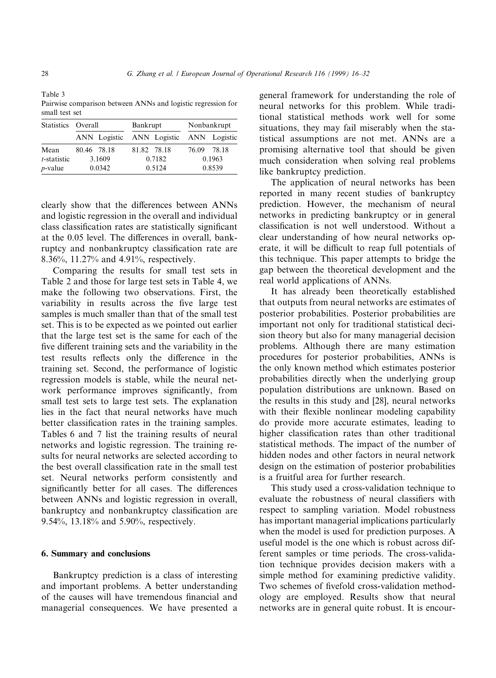Table 3 Pairwise comparison between ANNs and logistic regression for small test set

| Statistics Overall |             | Bankrupt                               | Nonbankrupt |
|--------------------|-------------|----------------------------------------|-------------|
|                    |             | ANN Logistic ANN Logistic ANN Logistic |             |
| Mean               | 80.46 78.18 | 81.82 78.18                            | 76.09 78.18 |
| $t$ -statistic     | 3.1609      | 0.7182                                 | 0.1963      |
| $p$ -value         | 0.0342      | 0.5124                                 | 0.8539      |

clearly show that the differences between ANNs and logistic regression in the overall and individual class classification rates are statistically significant at the  $0.05$  level. The differences in overall, bankruptcy and nonbankruptcy classification rate are 8.36%, 11.27% and 4.91%, respectively.

Comparing the results for small test sets in Table 2 and those for large test sets in Table 4, we make the following two observations. First, the variability in results across the five large test samples is much smaller than that of the small test set. This is to be expected as we pointed out earlier that the large test set is the same for each of the five different training sets and the variability in the test results reflects only the difference in the training set. Second, the performance of logistic regression models is stable, while the neural network performance improves significantly, from small test sets to large test sets. The explanation lies in the fact that neural networks have much better classification rates in the training samples. Tables 6 and 7 list the training results of neural networks and logistic regression. The training results for neural networks are selected according to the best overall classification rate in the small test set. Neural networks perform consistently and significantly better for all cases. The differences between ANNs and logistic regression in overall, bankruptcy and nonbankruptcy classification are 9.54%, 13.18% and 5.90%, respectively.

#### 6. Summary and conclusions

Bankruptcy prediction is a class of interesting and important problems. A better understanding of the causes will have tremendous financial and managerial consequences. We have presented a general framework for understanding the role of neural networks for this problem. While traditional statistical methods work well for some situations, they may fail miserably when the statistical assumptions are not met. ANNs are a promising alternative tool that should be given much consideration when solving real problems like bankruptcy prediction.

The application of neural networks has been reported in many recent studies of bankruptcy prediction. However, the mechanism of neural networks in predicting bankruptcy or in general classification is not well understood. Without a clear understanding of how neural networks operate, it will be difficult to reap full potentials of this technique. This paper attempts to bridge the gap between the theoretical development and the real world applications of ANNs.

It has already been theoretically established that outputs from neural networks are estimates of posterior probabilities. Posterior probabilities are important not only for traditional statistical decision theory but also for many managerial decision problems. Although there are many estimation procedures for posterior probabilities, ANNs is the only known method which estimates posterior probabilities directly when the underlying group population distributions are unknown. Based on the results in this study and [28], neural networks with their flexible nonlinear modeling capability do provide more accurate estimates, leading to higher classification rates than other traditional statistical methods. The impact of the number of hidden nodes and other factors in neural network design on the estimation of posterior probabilities is a fruitful area for further research.

This study used a cross-validation technique to evaluate the robustness of neural classifiers with respect to sampling variation. Model robustness has important managerial implications particularly when the model is used for prediction purposes. A useful model is the one which is robust across different samples or time periods. The cross-validation technique provides decision makers with a simple method for examining predictive validity. Two schemes of fivefold cross-validation methodology are employed. Results show that neural networks are in general quite robust. It is encour-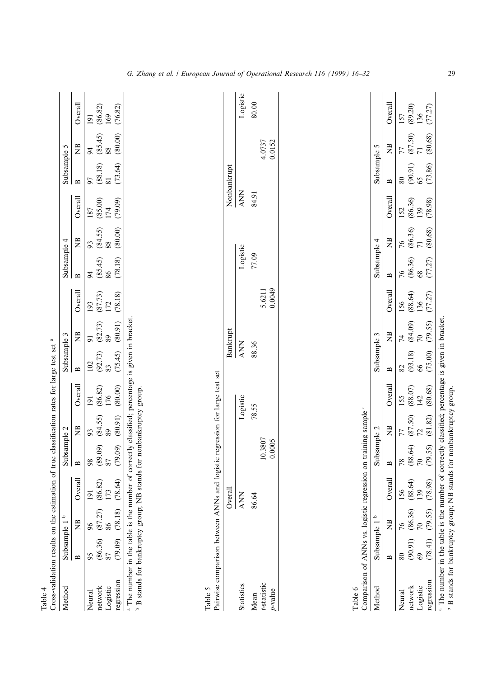| ross-validation results on the estimation of true classification rates for large test set a |                               |                     |         |             |        |                                                                                                                                                                                                                                   |             |        |         |             |        |         |             |        |         |
|---------------------------------------------------------------------------------------------|-------------------------------|---------------------|---------|-------------|--------|-----------------------------------------------------------------------------------------------------------------------------------------------------------------------------------------------------------------------------------|-------------|--------|---------|-------------|--------|---------|-------------|--------|---------|
|                                                                                             | subsample                     |                     |         | Subsample 2 |        |                                                                                                                                                                                                                                   | Subsample 3 |        |         | Subsample 4 |        |         | Subsample 5 |        |         |
|                                                                                             |                               |                     | Overall |             | e<br>€ | Overall B                                                                                                                                                                                                                         |             | 。<br>第 | Overall |             | m<br>E | Overall |             | 。<br>第 | Overall |
|                                                                                             |                               |                     |         |             |        |                                                                                                                                                                                                                                   |             |        |         |             |        |         |             |        |         |
|                                                                                             | 96.36                         | (87.27)             |         |             |        |                                                                                                                                                                                                                                   |             |        |         |             |        |         |             |        |         |
|                                                                                             |                               |                     |         |             |        |                                                                                                                                                                                                                                   |             |        |         |             |        |         |             |        |         |
| egression                                                                                   |                               | $(79.09)$ $(78.18)$ |         |             |        | 191 98 93 191 102 91 193 94 93 187 97 94 191 (86.82)<br>(86.82) (89.09) (84.55) (86.82) (92.73) (87.73) (85.45) (84.55) (85.00) (88.18) (85.45) (86.82)<br>173 87 89 176 83 99 176 83 172 86 88 174 81 88 179 178.44) (78.44) (80 |             |        |         |             |        |         |             |        |         |
|                                                                                             | manatan in the tale of the mu |                     |         |             |        | total of occurrent of contract to an occurrent of the contract of the contract of the contract of the contract of the contract of the contract of the contract of the contract of the contract of the contract of the contract    |             |        |         |             |        |         |             |        |         |

Table 4

The number in the table is the number of correctly classified; percentage is given in bracket. The number in the table is the number of correctly classi®ed; percentage is given in bracket. <sup>b</sup> B stands for bankruptcy group; NB stands for nonbankruptcy group. B stands for bankruptcy group; NB stands for nonbankruptcy group.

| S   |   |
|-----|---|
| ٩   |   |
| Гab |   |
|     | l |

Pairwise comparison between ANNs and logistic regression for large test set Pairwise comparison between ANNs and logistic regression for large test set

|            | Overall            |          | Bankrupt         |          | Vonbankrupt |          |
|------------|--------------------|----------|------------------|----------|-------------|----------|
| tatistics  | <b>ANN</b>         | Logistic | <b>ANN</b>       | Logistic | <b>NN</b>   | Logistic |
| lean       | ु<br>$\frac{1}{2}$ | 78.55    | 88.36            | 77.09    | 84.91       | 80.00    |
| -statistic | 0.3807             |          |                  |          | 4.0737      |          |
| $v$ -value | 0005.0             |          | 5.6211<br>0.0049 |          | 0.0152      |          |
|            |                    |          |                  |          |             |          |

Table 6

Comparison of ANNs vs. logistic regression on training sample <sup>a</sup> Comparison of ANNs vs. logistic regression on training sample a

Overall TelesiO 8DX 8 NB Overall B NB Overall B NB Overall B NB Overall B NB Overall B NB Overall B NB Overall B NB Ov<br>B NB Overall B NB Overall B NB Overall B NB Overall B NB Overall B NB Overall B NB Overall B NB Overall B NB O  $(89.20)$  $(77.27)$ networks (90.92) (88.92) (88.92) (88.92) (88.079) (89.50) (89.64) (88.651 (89.664) (89.07) (89.07) (89.920) (8<br>20.650) (89.92) (89.92) (89.92) (89.92) (89.92) (89.09) (89.79) (89.79) (89.07.50) (89.92) (89.92) (89.92) (8 regression (79.85) (79.55) (80.68) (79.55) (81.82) (80.68) (75.00) (80.68) (80.68) (77.27) (77.27) (77.27) (77.27) (77.27) (77.27) (77.27) (77.27) (77.27) (77.27) (77.27) (77.27) (77.27) (77.27) (77.27) (77.27) (77.27) (77  $36$  $\overline{57}$ Neural 80 76 156 78 157 14 14 156 76 76 152 081 157 157 Logistic 69 70 139 70 72 142 66 70 136 68 71 139 65 71 136  $(87.50)$  $(80.68)$  $\frac{1}{2}$ Subsample 5 Method Subsample 1 b Subsample 2 Subsample 3 Subsample 4 Subsample 5 77  $(90.91)$  $(73.86)$ 65  $80\,$  $\mathbf{m}$  $(86.36)$  $(78.98)$ Overall **S2** 139  $(80.68)$  $(86.36)$ Ê Subsample 4 76  $\overline{z}$  $(77.27)$  $(86.36)$ 76 68  $\overline{a}$  $(88.64)$  $(77.27)$ Overall 136 156  $(84.09)$  $(79.55)$ <sup>a</sup> The number in the table is the number of correctly classified; percentage is given in bracket. The number in the table is the number of correctly classi®ed; percentage is given in bracket.  $\tilde{z}$ Subsample 3  $\overline{7}$  $\overline{R}$  $(75.00)$  $(93.18)$  $66$  $82\,$  $\Box$  $(80.68)$  $(88.07)$ Overall <sup>b</sup> B stands for bankruptcy group; NB stands for nonbankruptcy group. B stands for bankruptcy group; NB stands for nonbankruptcy group.  $142$ 155  $72$  (81.82)  $(87.50)$  $\tilde{z}$ Subsample 2 77  $\frac{78}{(88.64)}$  $(79.55)$  $\overline{\mathfrak{c}}$ ∣ ∞  $(88.64)$  $(78.98)$ Overall 139 156  $(79.55)$  $(86.36)$ Subsample 1<sup>b</sup>  $\tilde{z}$  $\beta$ 76  $(90.91)$  $(78.41)$  $\rm 80$  $69$  $\Box$ regression Logistic Method network Neural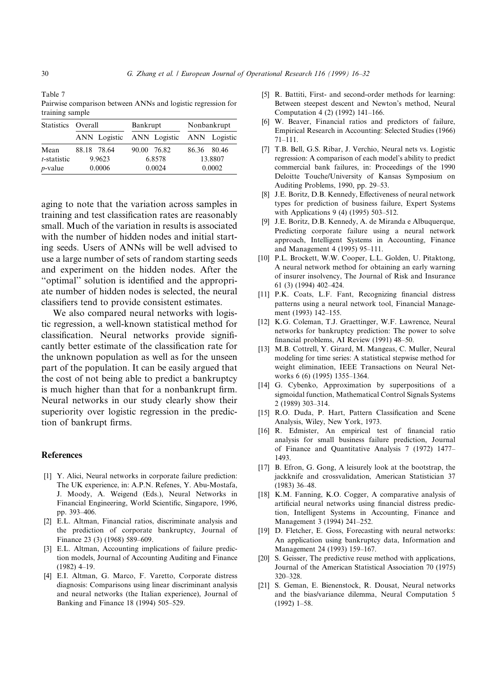Table 7

Pairwise comparison between ANNs and logistic regression for training sample

| Statistics Overall |             | Bankrupt                               | Nonbankrupt |
|--------------------|-------------|----------------------------------------|-------------|
|                    |             | ANN Logistic ANN Logistic ANN Logistic |             |
| Mean               | 88.18 78.64 | 90.00 76.82                            | 86.36 80.46 |
| $t$ -statistic     | 9.9623      | 6.8578                                 | 13.8807     |
| $p$ -value         | 0.0006      | 0.0024                                 | 0.0002      |

aging to note that the variation across samples in training and test classification rates are reasonably small. Much of the variation in results is associated with the number of hidden nodes and initial starting seeds. Users of ANNs will be well advised to use a large number of sets of random starting seeds and experiment on the hidden nodes. After the "optimal" solution is identified and the appropriate number of hidden nodes is selected, the neural classifiers tend to provide consistent estimates.

We also compared neural networks with logistic regression, a well-known statistical method for classification. Neural networks provide significantly better estimate of the classification rate for the unknown population as well as for the unseen part of the population. It can be easily argued that the cost of not being able to predict a bankruptcy is much higher than that for a nonbankrupt firm. Neural networks in our study clearly show their superiority over logistic regression in the prediction of bankrupt firms.

#### References

- [1] Y. Alici, Neural networks in corporate failure prediction: The UK experience, in: A.P.N. Refenes, Y. Abu-Mostafa, J. Moody, A. Weigend (Eds.), Neural Networks in Financial Engineering, World Scientific, Singapore, 1996, pp. 393-406.
- [2] E.L. Altman, Financial ratios, discriminate analysis and the prediction of corporate bankruptcy, Journal of Finance 23 (3) (1968) 589-609.
- [3] E.L. Altman, Accounting implications of failure prediction models, Journal of Accounting Auditing and Finance  $(1982)$  4-19.
- [4] E.I. Altman, G. Marco, F. Varetto, Corporate distress diagnosis: Comparisons using linear discriminant analysis and neural networks (the Italian experience), Journal of Banking and Finance 18 (1994) 505–529.
- [5] R. Battiti, First- and second-order methods for learning: Between steepest descent and Newton's method, Neural Computation 4 (2) (1992) 141-166.
- [6] W. Beaver, Financial ratios and predictors of failure, Empirical Research in Accounting: Selected Studies (1966) 71±111.
- [7] T.B. Bell, G.S. Ribar, J. Verchio, Neural nets vs. Logistic regression: A comparison of each model's ability to predict commercial bank failures, in: Proceedings of the 1990 Deloitte Touche/University of Kansas Symposium on Auditing Problems, 1990, pp. 29–53.
- [8] J.E. Boritz, D.B. Kennedy, Effectiveness of neural network types for prediction of business failure, Expert Systems with Applications 9 (4) (1995) 503-512.
- [9] J.E. Boritz, D.B. Kennedy, A. de Miranda e Albuquerque, Predicting corporate failure using a neural network approach, Intelligent Systems in Accounting, Finance and Management 4 (1995) 95-111.
- [10] P.L. Brockett, W.W. Cooper, L.L. Golden, U. Pitaktong, A neural network method for obtaining an early warning of insurer insolvency, The Journal of Risk and Insurance 61 (3) (1994) 402-424.
- [11] P.K. Coats, L.F. Fant, Recognizing financial distress patterns using a neural network tool, Financial Management (1993) 142-155.
- [12] K.G. Coleman, T.J. Graettinger, W.F. Lawrence, Neural networks for bankruptcy prediction: The power to solve financial problems, AI Review (1991) 48-50.
- [13] M.B. Cottrell, Y. Girard, M. Mangeas, C. Muller, Neural modeling for time series: A statistical stepwise method for weight elimination, IEEE Transactions on Neural Networks 6 (6) (1995) 1355-1364.
- [14] G. Cybenko, Approximation by superpositions of a sigmoidal function, Mathematical Control Signals Systems 2 (1989) 303-314.
- [15] R.O. Duda, P. Hart, Pattern Classification and Scene Analysis, Wiley, New York, 1973.
- [16] R. Edmister, An empirical test of financial ratio analysis for small business failure prediction, Journal of Finance and Quantitative Analysis 7 (1972) 1477-1493.
- [17] B. Efron, G. Gong, A leisurely look at the bootstrap, the jackknife and crossvalidation, American Statistician 37  $(1983)$  36-48.
- [18] K.M. Fanning, K.O. Cogger, A comparative analysis of artificial neural networks using financial distress prediction, Intelligent Systems in Accounting, Finance and Management 3 (1994) 241-252.
- [19] D. Fletcher, E. Goss, Forecasting with neural networks: An application using bankruptcy data, Information and Management 24 (1993) 159-167.
- [20] S. Geisser, The predictive reuse method with applications, Journal of the American Statistical Association 70 (1975) 320±328.
- [21] S. Geman, E. Bienenstock, R. Dousat, Neural networks and the bias/variance dilemma, Neural Computation 5  $(1992)$  1-58.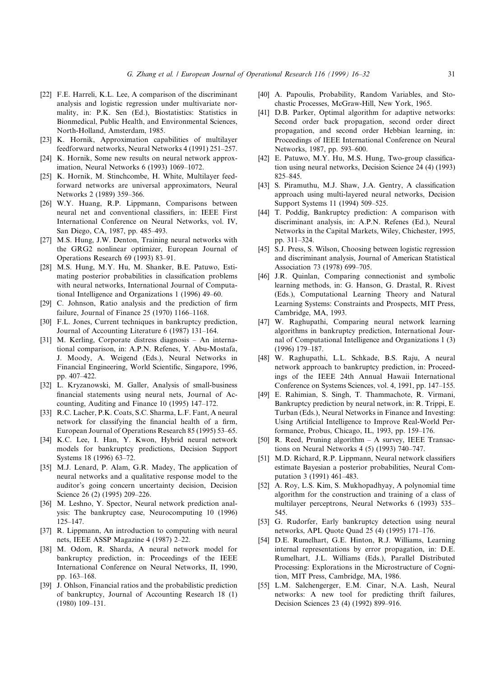- [22] F.E. Harreli, K.L. Lee, A comparison of the discriminant analysis and logistic regression under multivariate normality, in: P.K. Sen (Ed.), Biostatistics: Statistics in Bionmedical, Public Health, and Environmental Sciences, North-Holland, Amsterdam, 1985.
- [23] K. Hornik, Approximation capabilities of multilayer feedforward networks, Neural Networks 4 (1991) 251-257.
- [24] K. Hornik, Some new results on neural network approximation, Neural Networks 6 (1993) 1069-1072.
- [25] K. Hornik, M. Stinchcombe, H. White, Multilayer feedforward networks are universal approximators, Neural Networks 2 (1989) 359-366.
- [26] W.Y. Huang, R.P. Lippmann, Comparisons between neural net and conventional classifiers, in: IEEE First International Conference on Neural Networks, vol. IV, San Diego, CA, 1987, pp. 485-493.
- [27] M.S. Hung, J.W. Denton, Training neural networks with the GRG2 nonlinear optimizer, European Journal of Operations Research 69 (1993) 83–91.
- [28] M.S. Hung, M.Y. Hu, M. Shanker, B.E. Patuwo, Estimating posterior probabilities in classification problems with neural networks, International Journal of Computational Intelligence and Organizations 1 (1996) 49 $-60$ .
- [29] C. Johnson, Ratio analysis and the prediction of firm failure, Journal of Finance  $25(1970)$  1166-1168.
- [30] F.L. Jones, Current techniques in bankruptcy prediction, Journal of Accounting Literature 6 (1987) 131-164.
- [31] M. Kerling, Corporate distress diagnosis An international comparison, in: A.P.N. Refenes, Y. Abu-Mostafa, J. Moody, A. Weigend (Eds.), Neural Networks in Financial Engineering, World Scientific, Singapore, 1996, pp. 407-422.
- [32] L. Kryzanowski, M. Galler, Analysis of small-business financial statements using neural nets, Journal of Accounting, Auditing and Finance  $10$  (1995) 147-172.
- [33] R.C. Lacher, P.K. Coats, S.C. Sharma, L.F. Fant, A neural network for classifying the financial health of a firm, European Journal of Operations Research 85 (1995) 53-65.
- [34] K.C. Lee, I. Han, Y. Kwon, Hybrid neural network models for bankruptcy predictions, Decision Support Systems 18 (1996) 63-72.
- [35] M.J. Lenard, P. Alam, G.R. Madey, The application of neural networks and a qualitative response model to the auditor's going concern uncertainty decision, Decision Science 26 (2) (1995) 209-226.
- [36] M. Leshno, Y. Spector, Neural network prediction analysis: The bankruptcy case, Neurocomputing 10 (1996) 125±147.
- [37] R. Lippmann, An introduction to computing with neural nets, IEEE ASSP Magazine 4 (1987) 2-22.
- [38] M. Odom, R. Sharda, A neural network model for bankruptcy prediction, in: Proceedings of the IEEE International Conference on Neural Networks, II, 1990, pp. 163-168.
- [39] J. Ohlson, Financial ratios and the probabilistic prediction of bankruptcy, Journal of Accounting Research 18 (1)  $(1980)$   $109-131$ .
- [40] A. Papoulis, Probability, Random Variables, and Stochastic Processes, McGraw-Hill, New York, 1965.
- [41] D.B. Parker, Optimal algorithm for adaptive networks: Second order back propagation, second order direct propagation, and second order Hebbian learning, in: Proceedings of IEEE International Conference on Neural Networks, 1987, pp. 593-600.
- [42] E. Patuwo, M.Y. Hu, M.S. Hung, Two-group classification using neural networks, Decision Science 24 (4) (1993) 825±845.
- [43] S. Piramuthu, M.J. Shaw, J.A. Gentry, A classification approach using multi-layered neural networks, Decision Support Systems 11 (1994) 509–525.
- [44] T. Poddig, Bankruptcy prediction: A comparison with discriminant analysis, in: A.P.N. Refenes (Ed.), Neural Networks in the Capital Markets, Wiley, Chichester, 1995, pp. 311-324.
- [45] S.J. Press, S. Wilson, Choosing between logistic regression and discriminant analysis, Journal of American Statistical Association 73 (1978) 699-705.
- [46] J.R. Quinlan, Comparing connectionist and symbolic learning methods, in: G. Hanson, G. Drastal, R. Rivest (Eds.), Computational Learning Theory and Natural Learning Systems: Constraints and Prospects, MIT Press, Cambridge, MA, 1993.
- [47] W. Raghupathi, Comparing neural network learning algorithms in bankruptcy prediction, International Journal of Computational Intelligence and Organizations 1 (3) (1996) 179-187.
- [48] W. Raghupathi, L.L. Schkade, B.S. Raju, A neural network approach to bankruptcy prediction, in: Proceedings of the IEEE 24th Annual Hawaii International Conference on Systems Sciences, vol. 4, 1991, pp. 147–155.
- [49] E. Rahimian, S. Singh, T. Thammachote, R. Virmani, Bankruptcy prediction by neural network, in: R. Trippi, E. Turban (Eds.), Neural Networks in Finance and Investing: Using Artificial Intelligence to Improve Real-World Performance, Probus, Chicago, IL, 1993, pp. 159-176.
- [50] R. Reed, Pruning algorithm  $-$  A survey, IEEE Transactions on Neural Networks  $4(5)(1993)$  740-747.
- [51] M.D. Richard, R.P. Lippmann, Neural network classifiers estimate Bayesian a posterior probabilities, Neural Computation 3 (1991) 461-483.
- [52] A. Roy, L.S. Kim, S. Mukhopadhyay, A polynomial time algorithm for the construction and training of a class of multilayer perceptrons, Neural Networks 6 (1993) 535-545.
- [53] G. Rudorfer, Early bankruptcy detection using neural networks, APL Quote Quad 25 (4) (1995) 171-176.
- [54] D.E. Rumelhart, G.E. Hinton, R.J. Williams, Learning internal representations by error propagation, in: D.E. Rumelhart, J.L. Williams (Eds.), Parallel Distributed Processing: Explorations in the Microstructure of Cognition, MIT Press, Cambridge, MA, 1986.
- [55] L.M. Salchengerger, E.M. Cinar, N.A. Lash, Neural networks: A new tool for predicting thrift failures, Decision Sciences 23 (4) (1992) 899-916.